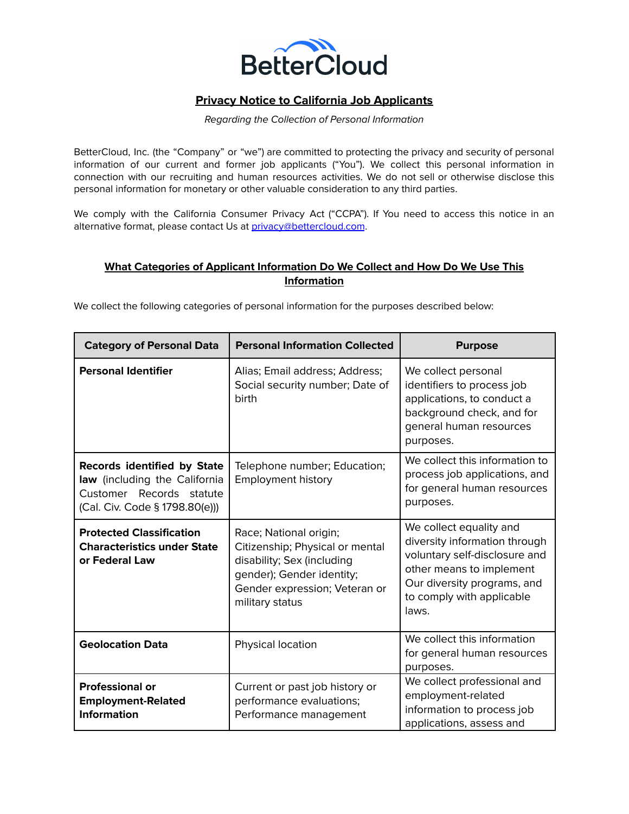

## **Privacy Notice to California Job Applicants**

## Regarding the Collection of Personal Information

BetterCloud, Inc. (the "Company" or "we") are committed to protecting the privacy and security of personal information of our current and former job applicants ("You"). We collect this personal information in connection with our recruiting and human resources activities. We do not sell or otherwise disclose this personal information for monetary or other valuable consideration to any third parties.

We comply with the California Consumer Privacy Act ("CCPA"). If You need to access this notice in an alternative format, please contact Us at [privacy@bettercloud.com](mailto:privacy@bettercloud.com).

## **What Categories of Applicant Information Do We Collect and How Do We Use This Information**

We collect the following categories of personal information for the purposes described below:

| <b>Category of Personal Data</b>                                                                                                  | <b>Personal Information Collected</b>                                                                                                                                    | <b>Purpose</b>                                                                                                                                                                             |
|-----------------------------------------------------------------------------------------------------------------------------------|--------------------------------------------------------------------------------------------------------------------------------------------------------------------------|--------------------------------------------------------------------------------------------------------------------------------------------------------------------------------------------|
| <b>Personal Identifier</b>                                                                                                        | Alias; Email address; Address;<br>Social security number; Date of<br><b>birth</b>                                                                                        | We collect personal<br>identifiers to process job<br>applications, to conduct a<br>background check, and for<br>general human resources<br>purposes.                                       |
| <b>Records identified by State</b><br>law (including the California<br>Customer Records statute<br>(Cal. Civ. Code § 1798.80(e))) | Telephone number; Education;<br><b>Employment history</b>                                                                                                                | We collect this information to<br>process job applications, and<br>for general human resources<br>purposes.                                                                                |
| <b>Protected Classification</b><br><b>Characteristics under State</b><br>or Federal Law                                           | Race; National origin;<br>Citizenship; Physical or mental<br>disability; Sex (including<br>gender); Gender identity;<br>Gender expression; Veteran or<br>military status | We collect equality and<br>diversity information through<br>voluntary self-disclosure and<br>other means to implement<br>Our diversity programs, and<br>to comply with applicable<br>laws. |
| <b>Geolocation Data</b>                                                                                                           | Physical location                                                                                                                                                        | We collect this information<br>for general human resources<br>purposes.                                                                                                                    |
| <b>Professional or</b><br><b>Employment-Related</b><br><b>Information</b>                                                         | Current or past job history or<br>performance evaluations;<br>Performance management                                                                                     | We collect professional and<br>employment-related<br>information to process job<br>applications, assess and                                                                                |